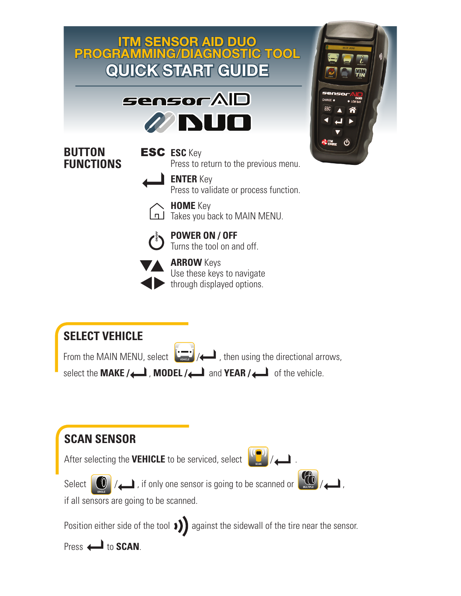

Select  $\bigcup_{\text{source}}$  / , if only one sensor is going to be scanned or  $\bigcup_{\text{source}}$  / ,



if all sensors are going to be scanned.

Position either side of the tool  $\sum$  against the sidewall of the tire near the sensor.

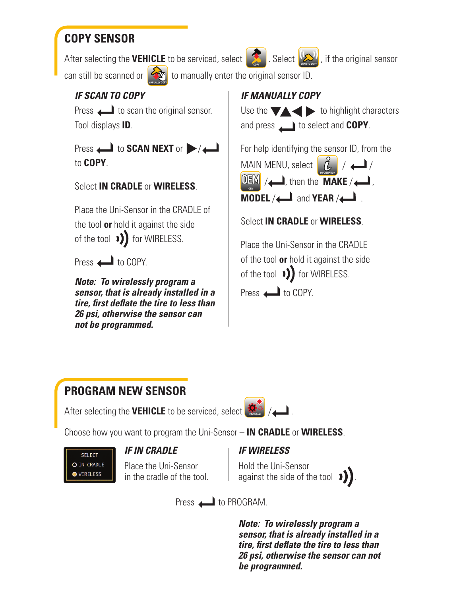## **COPY SENSOR**

After selecting the **VEHICLE** to be serviced, select **. Select** Select is selecting in all sensor

can still be scanned or  $\left\{ \mathcal{L}_{\infty}^{\infty} \right\}$  to manually enter the original sensor ID. **MANUALLY COPY**

## *IF SCAN TO COPY*

Press  $\Box$  to scan the original sensor. Tool displays **ID**.

Press  $\leftarrow$  to **SCAN NEXT** or  $\rightarrow$  / $\leftarrow$ to **COPY**.

#### Select **IN CRADLE** or **WIRELESS**.

Place the Uni-Sensor in the CRADLE of the tool **or** hold it against the side of the tool  $\sqrt{ }$  for WIRELESS.

Press **in COPY.** 

*Note: To wirelessly program a sensor, that is already installed in a tire, first deflate the tire to less than 26 psi, otherwise the sensor can not be programmed.*

*IF MANUALLY COPY*



For help identifying the sensor ID, from the

MAIN MENU, select  $\left[\begin{array}{cc} L & / \end{array}\right]$  $\frac{1}{2}$  , then the **MAKE** / **MODEL** / **and <b>YEAR** / **INFORMATION OEM**

Select **IN CRADLE** or **WIRELESS**.

Place the Uni-Sensor in the CRADLE of the tool **or** hold it against the side of the tool  $\rightarrow$ ) for WIRELESS.

Press  $\leftarrow$  to COPY.

### **PROGRAM NEW SENSOR**

**After selecting the VEHICLE** to be serviced, select  $\frac{1}{2600}$  /  $\frac{1}{24}$ .

Choose how you want to program the Uni-Sensor – **IN CRADLE** or **WIRELESS**.



#### *IF IN CRADLE*

Place the Uni-Sensor in the cradle of the tool.

#### *IF WIRELESS*

Hold the Uni-Sensor against the side of the tool  $\rightarrow$ 

Press **the PROGRAM.** 

*Note: To wirelessly program a sensor, that is already installed in a tire, first deflate the tire to less than 26 psi, otherwise the sensor can not be programmed.*

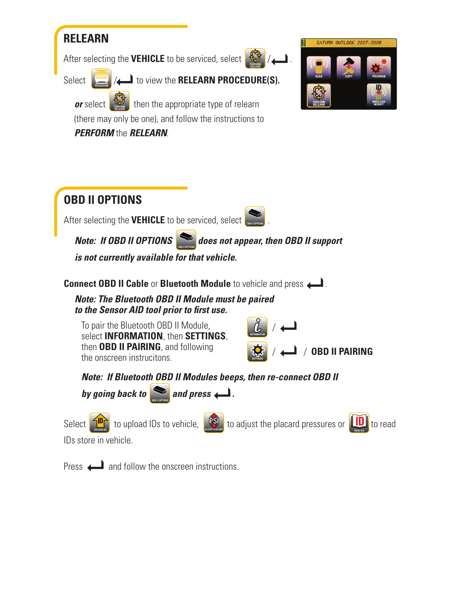

After selecting the **VEHICLE** to be serviced, select



**PROCEDURE RELEARN**

Select  $\left| \right|$  **//** to view the **RELEARN PROCEDURE(S).** 

*or* select  $\mathbb{Q}$  then the appropriate type of relearn (there may only be one), and follow the instructions to **PERFORM RELEARN**

*PERFORM* the *RELEARN*.



#### **OBD II OPTIONS**  After selecting the **VEHICLE** to be serviced, select **services**. *Note: If OBD II OPTIONS does not appear, then OBD II support is not currently available for that vehicle.* **OBD II OPTIONS**

**Connect OBD II Cable** or **Bluetooth Module** to vehicle and press .

*Note: The Bluetooth OBD II Module must be paired to the Sensor AID tool prior to first use.* 

 To pair the Bluetooth OBD II Module, select **INFORMATION**, then **SETTINGS**, then **OBD II PAIRING**, and following the onscreen instrucitons.



**SETTINGS** 



*Note: If Bluetooth OBD II Modules beeps, then re-connect OBD II* 



Select  $\Box$  **UPLO** to upload IDs to vehicle,  $\Box$  **Business** to adjust the placard pressures or  $\Box$  **READ IDS** to read



IDs store in vehicle.

Press  $\leftarrow$  and follow the onscreen instructions.